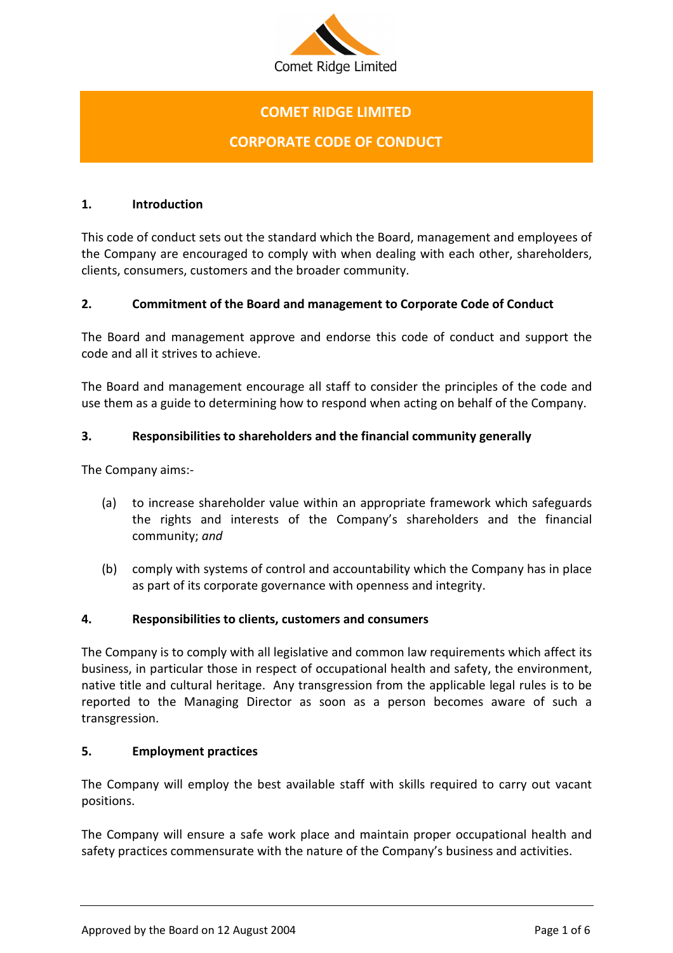

# COMET RIDGE LIMITED

## CORPORATE CODE OF CONDUCT

#### 1. Introduction

This code of conduct sets out the standard which the Board, management and employees of the Company are encouraged to comply with when dealing with each other, shareholders, clients, consumers, customers and the broader community.

## 2. Commitment of the Board and management to Corporate Code of Conduct

The Board and management approve and endorse this code of conduct and support the code and all it strives to achieve.

The Board and management encourage all staff to consider the principles of the code and use them as a guide to determining how to respond when acting on behalf of the Company.

## 3. Responsibilities to shareholders and the financial community generally

The Company aims:-

- (a) to increase shareholder value within an appropriate framework which safeguards the rights and interests of the Company's shareholders and the financial community; and
- (b) comply with systems of control and accountability which the Company has in place as part of its corporate governance with openness and integrity.

#### 4. Responsibilities to clients, customers and consumers

The Company is to comply with all legislative and common law requirements which affect its business, in particular those in respect of occupational health and safety, the environment, native title and cultural heritage. Any transgression from the applicable legal rules is to be reported to the Managing Director as soon as a person becomes aware of such a transgression.

#### 5. Employment practices

The Company will employ the best available staff with skills required to carry out vacant positions.

The Company will ensure a safe work place and maintain proper occupational health and safety practices commensurate with the nature of the Company's business and activities.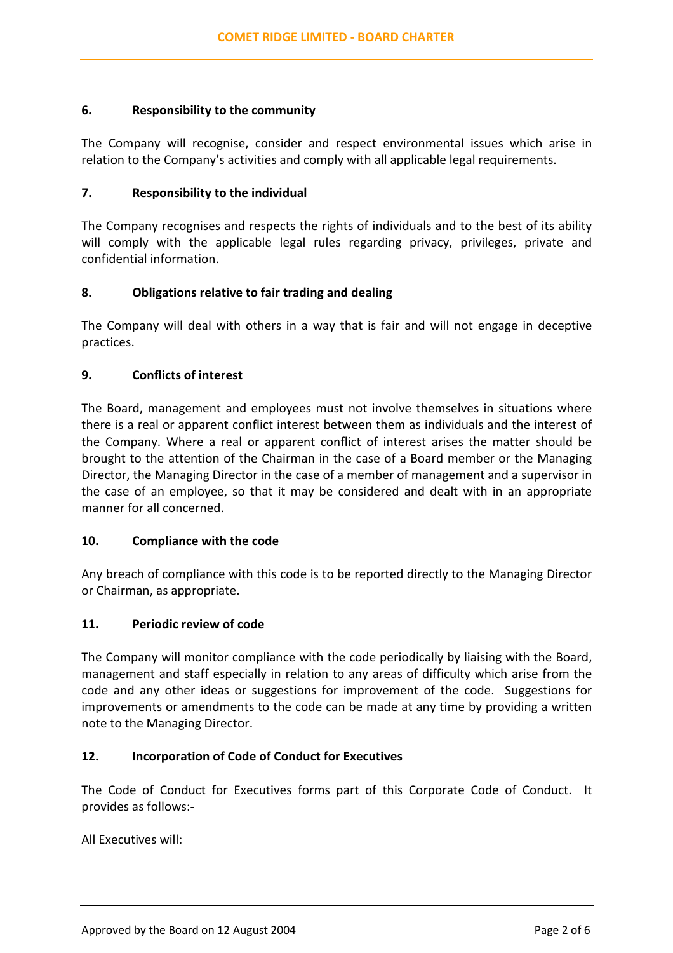#### 6. Responsibility to the community

The Company will recognise, consider and respect environmental issues which arise in relation to the Company's activities and comply with all applicable legal requirements.

#### 7. Responsibility to the individual

The Company recognises and respects the rights of individuals and to the best of its ability will comply with the applicable legal rules regarding privacy, privileges, private and confidential information.

## 8. Obligations relative to fair trading and dealing

The Company will deal with others in a way that is fair and will not engage in deceptive practices.

## 9. Conflicts of interest

The Board, management and employees must not involve themselves in situations where there is a real or apparent conflict interest between them as individuals and the interest of the Company. Where a real or apparent conflict of interest arises the matter should be brought to the attention of the Chairman in the case of a Board member or the Managing Director, the Managing Director in the case of a member of management and a supervisor in the case of an employee, so that it may be considered and dealt with in an appropriate manner for all concerned.

#### 10. Compliance with the code

Any breach of compliance with this code is to be reported directly to the Managing Director or Chairman, as appropriate.

#### 11. Periodic review of code

The Company will monitor compliance with the code periodically by liaising with the Board, management and staff especially in relation to any areas of difficulty which arise from the code and any other ideas or suggestions for improvement of the code. Suggestions for improvements or amendments to the code can be made at any time by providing a written note to the Managing Director.

#### 12. Incorporation of Code of Conduct for Executives

The Code of Conduct for Executives forms part of this Corporate Code of Conduct. It provides as follows:-

All Executives will: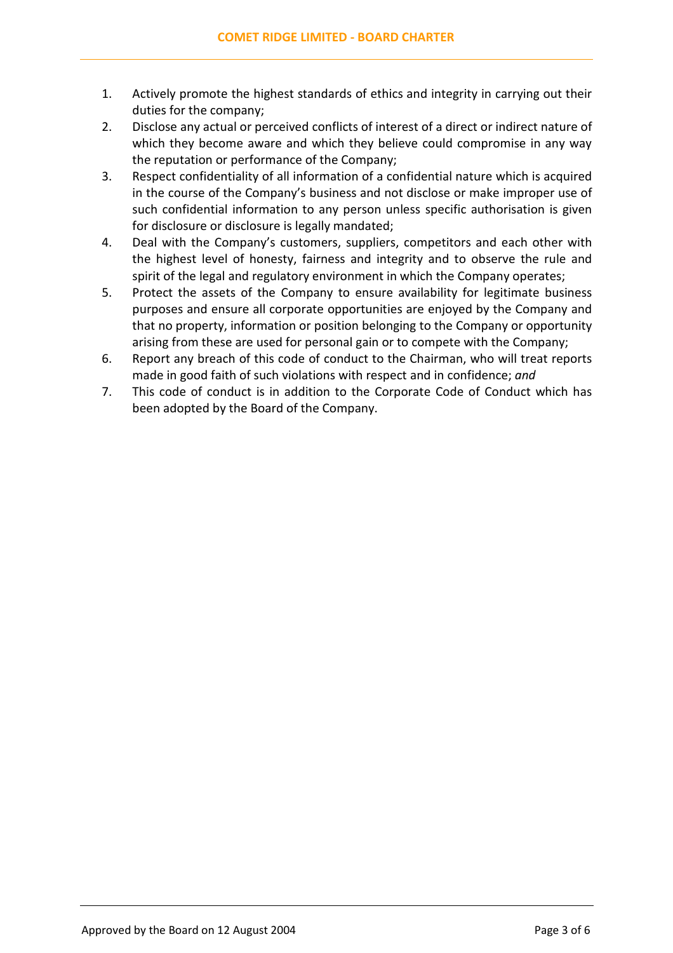- 1. Actively promote the highest standards of ethics and integrity in carrying out their duties for the company;
- 2. Disclose any actual or perceived conflicts of interest of a direct or indirect nature of which they become aware and which they believe could compromise in any way the reputation or performance of the Company;
- 3. Respect confidentiality of all information of a confidential nature which is acquired in the course of the Company's business and not disclose or make improper use of such confidential information to any person unless specific authorisation is given for disclosure or disclosure is legally mandated;
- 4. Deal with the Company's customers, suppliers, competitors and each other with the highest level of honesty, fairness and integrity and to observe the rule and spirit of the legal and regulatory environment in which the Company operates;
- 5. Protect the assets of the Company to ensure availability for legitimate business purposes and ensure all corporate opportunities are enjoyed by the Company and that no property, information or position belonging to the Company or opportunity arising from these are used for personal gain or to compete with the Company;
- 6. Report any breach of this code of conduct to the Chairman, who will treat reports made in good faith of such violations with respect and in confidence; and
- 7. This code of conduct is in addition to the Corporate Code of Conduct which has been adopted by the Board of the Company.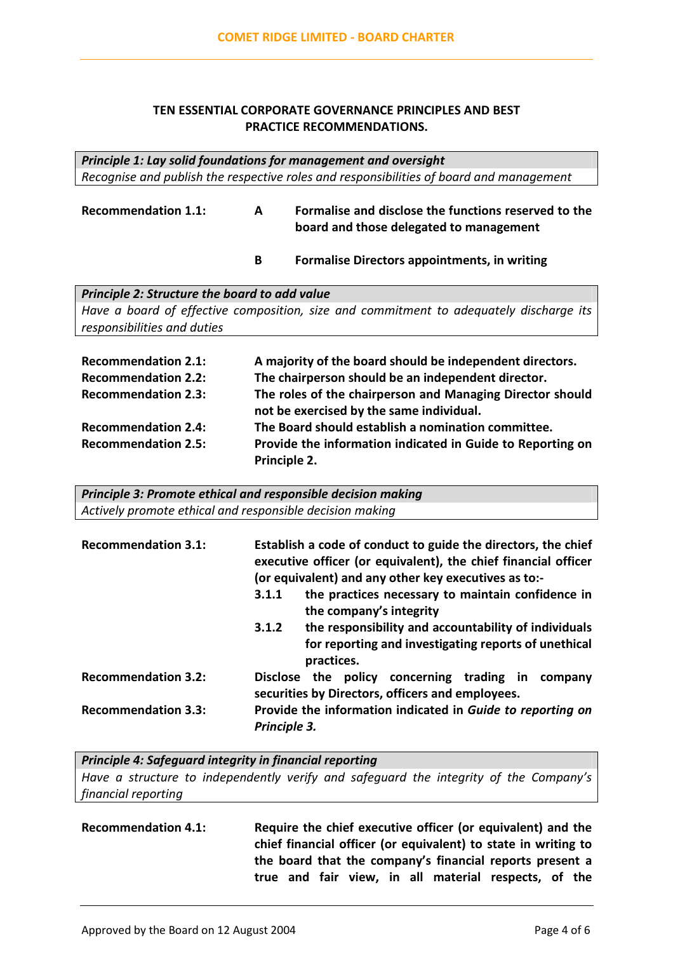#### TEN ESSENTIAL CORPORATE GOVERNANCE PRINCIPLES AND BEST PRACTICE RECOMMENDATIONS.

Principle 1: Lay solid foundations for management and oversight Recognise and publish the respective roles and responsibilities of board and management

Recommendation 1.1: A Formalise and disclose the functions reserved to the board and those delegated to management

B Formalise Directors appointments, in writing

Principle 2: Structure the board to add value Have a board of effective composition, size and commitment to adequately discharge its responsibilities and duties

| <b>Recommendation 2.1:</b> | A majority of the board should be independent directors.                                              |
|----------------------------|-------------------------------------------------------------------------------------------------------|
| <b>Recommendation 2.2:</b> | The chairperson should be an independent director.                                                    |
| <b>Recommendation 2.3:</b> | The roles of the chairperson and Managing Director should<br>not be exercised by the same individual. |
| <b>Recommendation 2.4:</b> | The Board should establish a nomination committee.                                                    |
| <b>Recommendation 2.5:</b> | Provide the information indicated in Guide to Reporting on                                            |
|                            | Principle 2.                                                                                          |

| <b>Principle 3: Promote ethical and responsible decision making</b> |
|---------------------------------------------------------------------|
| Actively promote ethical and responsible decision making            |

| <b>Recommendation 3.1:</b> | Establish a code of conduct to guide the directors, the chief<br>executive officer (or equivalent), the chief financial officer<br>(or equivalent) and any other key executives as to:- |
|----------------------------|-----------------------------------------------------------------------------------------------------------------------------------------------------------------------------------------|
|                            | the practices necessary to maintain confidence in<br>3.1.1<br>the company's integrity                                                                                                   |
|                            | the responsibility and accountability of individuals<br>3.1.2<br>for reporting and investigating reports of unethical<br>practices.                                                     |
| <b>Recommendation 3.2:</b> | policy concerning trading in<br>Disclose the<br>company<br>securities by Directors, officers and employees.                                                                             |
| <b>Recommendation 3.3:</b> | Provide the information indicated in Guide to reporting on<br>Principle 3.                                                                                                              |

Principle 4: Safeguard integrity in financial reporting

Have a structure to independently verify and safeguard the integrity of the Company's financial reporting

Recommendation 4.1: Require the chief executive officer (or equivalent) and the chief financial officer (or equivalent) to state in writing to the board that the company's financial reports present a true and fair view, in all material respects, of the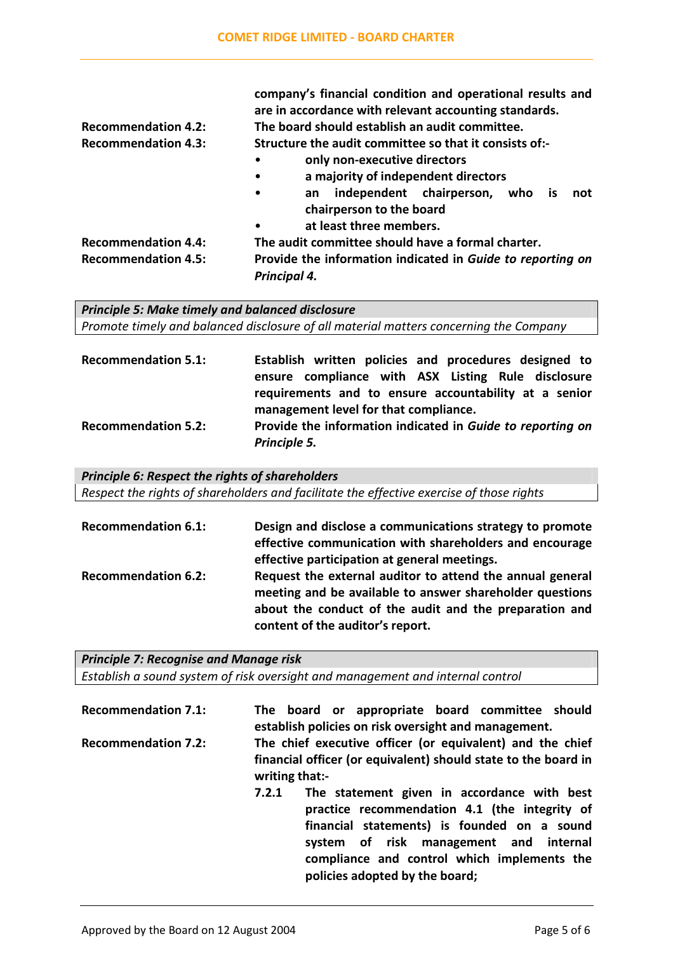|                            | company's financial condition and operational results and<br>are in accordance with relevant accounting standards. |  |  |
|----------------------------|--------------------------------------------------------------------------------------------------------------------|--|--|
| <b>Recommendation 4.2:</b> | The board should establish an audit committee.                                                                     |  |  |
| <b>Recommendation 4.3:</b> | Structure the audit committee so that it consists of:-                                                             |  |  |
|                            | only non-executive directors<br>٠                                                                                  |  |  |
|                            | a majority of independent directors<br>٠                                                                           |  |  |
|                            | independent chairperson,<br>who<br>not<br><b>is</b><br>$\bullet$<br>an<br>chairperson to the board                 |  |  |
|                            | at least three members.<br>$\bullet$                                                                               |  |  |
| <b>Recommendation 4.4:</b> | The audit committee should have a formal charter.                                                                  |  |  |
| <b>Recommendation 4.5:</b> | Provide the information indicated in Guide to reporting on<br>Principal 4.                                         |  |  |

Principle 5: Make timely and balanced disclosure Promote timely and balanced disclosure of all material matters concerning the Company

| <b>Recommendation 5.1:</b> | Establish written policies and procedures designed to                                          |
|----------------------------|------------------------------------------------------------------------------------------------|
|                            | ensure compliance with ASX Listing Rule disclosure                                             |
|                            | requirements and to ensure accountability at a senior<br>management level for that compliance. |
| <b>Recommendation 5.2:</b> | Provide the information indicated in Guide to reporting on                                     |
|                            | Principle 5.                                                                                   |

Principle 6: Respect the rights of shareholders Respect the rights of shareholders and facilitate the effective exercise of those rights

| <b>Recommendation 6.1:</b> | Design and disclose a communications strategy to promote<br>effective communication with shareholders and encourage<br>effective participation at general meetings.                                                 |
|----------------------------|---------------------------------------------------------------------------------------------------------------------------------------------------------------------------------------------------------------------|
| <b>Recommendation 6.2:</b> | Request the external auditor to attend the annual general<br>meeting and be available to answer shareholder questions<br>about the conduct of the audit and the preparation and<br>content of the auditor's report. |

Principle 7: Recognise and Manage risk Establish a sound system of risk oversight and management and internal control

| <b>Recommendation 7.1:</b> |                                                                                                                                               |  |                                |  | The board or appropriate board committee should<br>establish policies on risk oversight and management.                                                                                                                              |  |
|----------------------------|-----------------------------------------------------------------------------------------------------------------------------------------------|--|--------------------------------|--|--------------------------------------------------------------------------------------------------------------------------------------------------------------------------------------------------------------------------------------|--|
| <b>Recommendation 7.2:</b> | The chief executive officer (or equivalent) and the chief<br>financial officer (or equivalent) should state to the board in<br>writing that:- |  |                                |  |                                                                                                                                                                                                                                      |  |
|                            | 7.2.1                                                                                                                                         |  | policies adopted by the board; |  | The statement given in accordance with best<br>practice recommendation 4.1 (the integrity of<br>financial statements) is founded on a sound<br>system of risk management and internal<br>compliance and control which implements the |  |